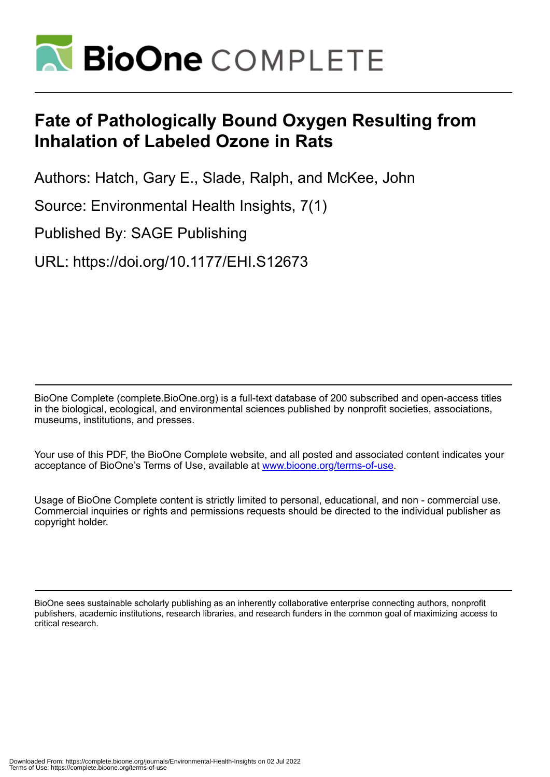

# **Fate of Pathologically Bound Oxygen Resulting from Inhalation of Labeled Ozone in Rats**

Authors: Hatch, Gary E., Slade, Ralph, and McKee, John

Source: Environmental Health Insights, 7(1)

Published By: SAGE Publishing

URL: https://doi.org/10.1177/EHI.S12673

BioOne Complete (complete.BioOne.org) is a full-text database of 200 subscribed and open-access titles in the biological, ecological, and environmental sciences published by nonprofit societies, associations, museums, institutions, and presses.

Your use of this PDF, the BioOne Complete website, and all posted and associated content indicates your acceptance of BioOne's Terms of Use, available at www.bioone.org/terms-of-use.

Usage of BioOne Complete content is strictly limited to personal, educational, and non - commercial use. Commercial inquiries or rights and permissions requests should be directed to the individual publisher as copyright holder.

BioOne sees sustainable scholarly publishing as an inherently collaborative enterprise connecting authors, nonprofit publishers, academic institutions, research libraries, and research funders in the common goal of maximizing access to critical research.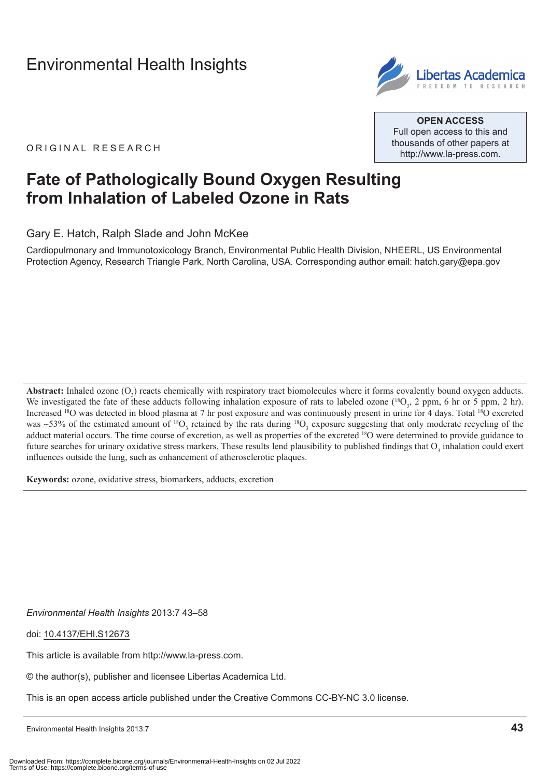# [Environmental Health Insights](http://www.la-press.com/environmental-health-insights-journal-j110)



**Open Access** Full open access to this and thousands of other papers at <http://www.la-press.com>.

ORIGINAL RESEARCH

# **Fate of Pathologically Bound Oxygen Resulting from Inhalation of Labeled Ozone in Rats**

Gary E. Hatch, Ralph Slade and John McKee

Cardiopulmonary and Immunotoxicology Branch, Environmental Public Health Division, NHEERL, US Environmental Protection Agency, Research Triangle Park, North Carolina, USA. Corresponding author email: h[atch.gary@epa.gov](mailto:hatch.gary@epa.gov)

**Abstract:** Inhaled ozone  $(O_3)$  reacts chemically with respiratory tract biomolecules where it forms covalently bound oxygen adducts. We investigated the fate of these adducts following inhalation exposure of rats to labeled ozone  $(^{18}O_3$ , 2 ppm, 6 hr or 5 ppm, 2 hr). Increased 18O was detected in blood plasma at 7 hr post exposure and was continuously present in urine for 4 days. Total 18O excreted was ~53% of the estimated amount of <sup>18</sup>O<sub>3</sub> retained by the rats during <sup>18</sup>O<sub>3</sub> exposure suggesting that only moderate recycling of the adduct material occurs. The time course of excretion, as well as properties of the excreted 18O were determined to provide guidance to future searches for urinary oxidative stress markers. These results lend plausibility to published findings that  $O_3$  inhalation could exert influences outside the lung, such as enhancement of atherosclerotic plaques.

**Keywords:** ozone, oxidative stress, biomarkers, adducts, excretion

*Environmental Health Insights* 2013:7 43–58

doi: [10.4137/EHI.S12673](http://dx.doi.org/10.4137/EHI.S12673)

This article is available from [http://www.la-press.com.](http://www.la-press.com)

© the author(s), publisher and licensee Libertas Academica Ltd.

This is an open access article published under the Creative Commons CC-BY-NC 3.0 license.

Environmental Health Insights 2013:7 **43**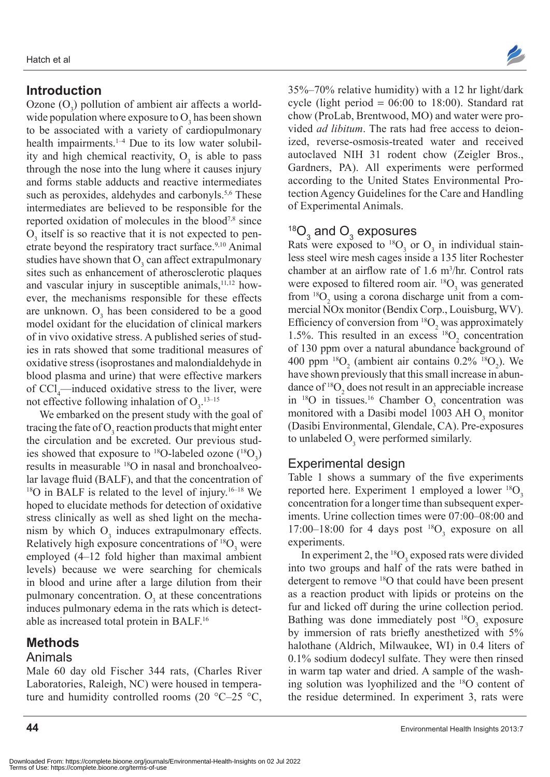## **Introduction**

Ozone  $(O_3)$  pollution of ambient air affects a worldwide population where exposure to  $O_3$  has been shown to be associated with a variety of cardiopulmonary health impairments.<sup>1-4</sup> Due to its low water solubility and high chemical reactivity,  $O_3$  is able to pass through the nose into the lung where it causes injury and forms stable adducts and reactive intermediates such as peroxides, aldehydes and carbonyls.<sup>5,6</sup> These intermediates are believed to be responsible for the reported oxidation of molecules in the blood<sup>7,8</sup> since  $O_3$  itself is so reactive that it is not expected to penetrate beyond the respiratory tract surface.<sup>9,10</sup> Animal studies have shown that  $O_3$  can affect extrapulmonary sites such as enhancement of atherosclerotic plaques and vascular injury in susceptible animals, $11,12$  however, the mechanisms responsible for these effects are unknown.  $O_3$  has been considered to be a good model oxidant for the elucidation of clinical markers of in vivo oxidative stress. A published series of studies in rats showed that some traditional measures of oxidative stress (isoprostanes and malondialdehyde in blood plasma and urine) that were effective markers of  $\text{CCl}_4$ —induced oxidative stress to the liver, were not effective following inhalation of  $O_3$ <sup>13–15</sup>

We embarked on the present study with the goal of tracing the fate of  $O_3$  reaction products that might enter the circulation and be excreted. Our previous studies showed that exposure to  $^{18}O$ -labeled ozone  $(^{18}O_3)$ results in measurable 18O in nasal and bronchoalveolar lavage fluid (BALF), and that the concentration of  $18$ O in BALF is related to the level of injury.<sup>16–18</sup> We hoped to elucidate methods for detection of oxidative stress clinically as well as shed light on the mechanism by which  $O_3$  induces extrapulmonary effects. Relatively high exposure concentrations of  ${}^{18}O_3$  were employed (4–12 fold higher than maximal ambient levels) because we were searching for chemicals in blood and urine after a large dilution from their pulmonary concentration.  $O_3$  at these concentrations induces pulmonary edema in the rats which is detectable as increased total protein in BALF.<sup>16</sup>

## **Methods**

### Animals

Male 60 day old Fischer 344 rats, (Charles River Laboratories, Raleigh, NC) were housed in temperature and humidity controlled rooms (20  $\textdegree$ C–25  $\textdegree$ C,



35%–70% relative humidity) with a 12 hr light/dark cycle (light period =  $06:00$  to 18:00). Standard rat chow (ProLab, Brentwood, MO) and water were provided *ad libitum*. The rats had free access to deionized, reverse-osmosis-treated water and received autoclaved NIH 31 rodent chow (Zeigler Bros., Gardners, PA). All experiments were performed according to the United States Environmental Protection Agency Guidelines for the Care and Handling of Experimental Animals.

# $^{18}O_3$  and  $O_3$  exposures

Rats were exposed to  ${}^{18}O_3$  or  $O_3$  in individual stainless steel wire mesh cages inside a 135 liter Rochester chamber at an airflow rate of  $1.6 \text{ m}^3/\text{hr}$ . Control rats were exposed to filtered room air.  $^{18}O_3$  was generated from  ${}^{18}O_2$  using a corona discharge unit from a commercial NOx monitor (Bendix Corp., Louisburg, WV). Efficiency of conversion from  ${}^{18}O_2$  was approximately 1.5%. This resulted in an excess  $^{18}O_2$  concentration of 130 ppm over a natural abundance background of 400 ppm  $^{18}O_2$  (ambient air contains 0.2%  $^{18}O_2$ ). We have shown previously that this small increase in abundance of  ${}^{18}O_2$  does not result in an appreciable increase in  $^{18}O$  in tissues.<sup>16</sup> Chamber  $O_3$  concentration was monitored with a Dasibi model 1003 AH  $O_3$  monitor (Dasibi Environmental, Glendale, CA). Pre-exposures to unlabeled  $O_3$  were performed similarly.

## Experimental design

Table 1 shows a summary of the five experiments reported here. Experiment 1 employed a lower  $^{18}O<sub>3</sub>$ concentration for a longer time than subsequent experiments. Urine collection times were 07:00–08:00 and 17:00–18:00 for 4 days post  $^{18}O_3$  exposure on all experiments.

In experiment 2, the  ${}^{18}O_3$  exposed rats were divided into two groups and half of the rats were bathed in detergent to remove 18O that could have been present as a reaction product with lipids or proteins on the fur and licked off during the urine collection period. Bathing was done immediately post  $^{18}O_3$  exposure by immersion of rats briefly anesthetized with 5% halothane (Aldrich, Milwaukee, WI) in 0.4 liters of 0.1% sodium dodecyl sulfate. They were then rinsed in warm tap water and dried. A sample of the washing solution was lyophilized and the 18O content of the residue determined. In experiment 3, rats were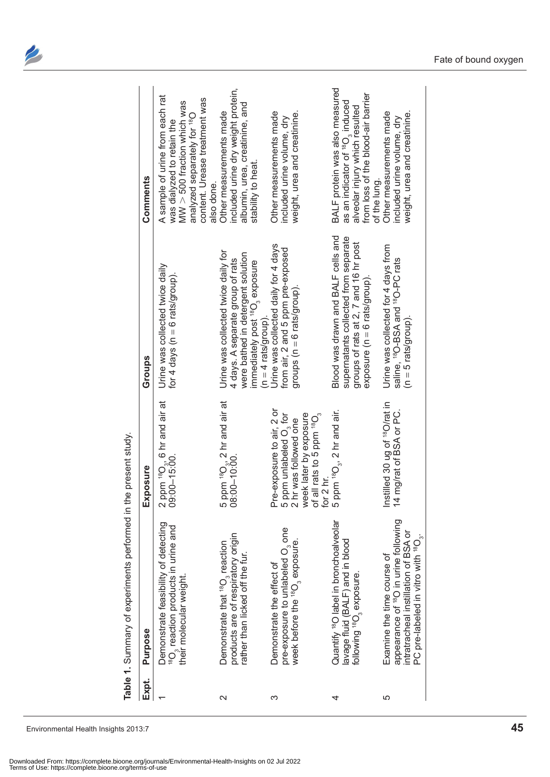| Expt.                    | Purpose                                                                                                                                                                   | posure<br>찣                                                                                                                                                                   | Groups                                                                                                                                                | Comments                                                                                                                                                                          |
|--------------------------|---------------------------------------------------------------------------------------------------------------------------------------------------------------------------|-------------------------------------------------------------------------------------------------------------------------------------------------------------------------------|-------------------------------------------------------------------------------------------------------------------------------------------------------|-----------------------------------------------------------------------------------------------------------------------------------------------------------------------------------|
| $\overline{\phantom{0}}$ | Demonstrate feasibility of detecting<br><sup>18</sup> O <sub>3</sub> reaction products in urine and<br>their molecular weight.                                            | 2 ppm $^{18}O_3$ , 6 hr and air at 09:00–15:00.                                                                                                                               | Urine was collected twice daily<br>for 4 days ( $n = 6$ rats/group)                                                                                   | A sample of urine from each rat<br>content. Urease treatment was<br>$M/N > 500$ fraction which was<br>analyzed separately for 180<br>was dialyzed to retain the<br>also done.     |
| $\mathbf{\Omega}$        | products are of respiratory origin<br>Demonstrate that <sup>18</sup> O <sub>3</sub> reaction<br>rather than licked off the fur.                                           | 5 ppm <sup>18</sup> O <sub>3</sub> , 2 hr and air at<br>08:00–10:00.                                                                                                          | Urine was collected twice daily for<br>were bathed in detergent solution<br>4 days. A separate group of rats<br>$(n = 4 \text{ rats/group}).$         | included urine dry weight protein,<br>albumin, urea, creatinine, and<br>Other measurements made<br>stability to heat.                                                             |
| S                        | pre-exposure to unlabeled O <sub>3</sub> one<br>week before the <sup>18</sup> O <sub>3</sub> exposure.<br>Demonstrate the effect of                                       | Pre-exposure to air, 2 or<br>5 ppm unlabeled $O_3$ for<br>2 hr was followed one<br>week later by exposure<br>of all rats to 5 ppm <sup>18</sup> O <sub>3</sub><br>for $2$ hr. | Urine was collected daily for 4 days<br>from air, 2 and 5 ppm pre-exposed<br>groups ( $n = 6$ rats/group).                                            | Other measurements made<br>weight, urea and creatinine.<br>included urine volume, dry                                                                                             |
| 4                        | Quantify <sup>18</sup> O label in bronchoalveolar<br>lavage fluid (BALF) and in blood<br>following <sup>18</sup> O <sub>3</sub> exposure.                                 | 5 ppm $^{18}O_3$ , 2 hr and air.                                                                                                                                              | Blood was drawn and BALF cells and<br>supernatants collected from separate<br>groups of rats at 2, 7 and 16 hr post<br>$exposure (n = 6$ rats/group). | BALF protein was also measured<br>from loss of the blood-air barrier<br>as an indicator of <sup>18</sup> O <sub>3</sub> induced<br>alveolar injury which resulted<br>of the lung. |
| LO                       | appearance of 18O in urine following<br>intratracheal instillation of BSA or<br>PC pre-labeled in vitro with <sup>18</sup> O <sub>3</sub> .<br>Examine the time course of | Instilled 30 ug of <sup>18</sup> O/rat in<br>14 mg/rat of BSA or PC.                                                                                                          | Urine was collected for 4 days from<br>saline, <sup>18</sup> O-BSA and <sup>18</sup> O-PC rats<br>$(n = 5$ rats/group).                               | Other measurements made<br>weight, urea and creatinine<br>included urine volume, dry                                                                                              |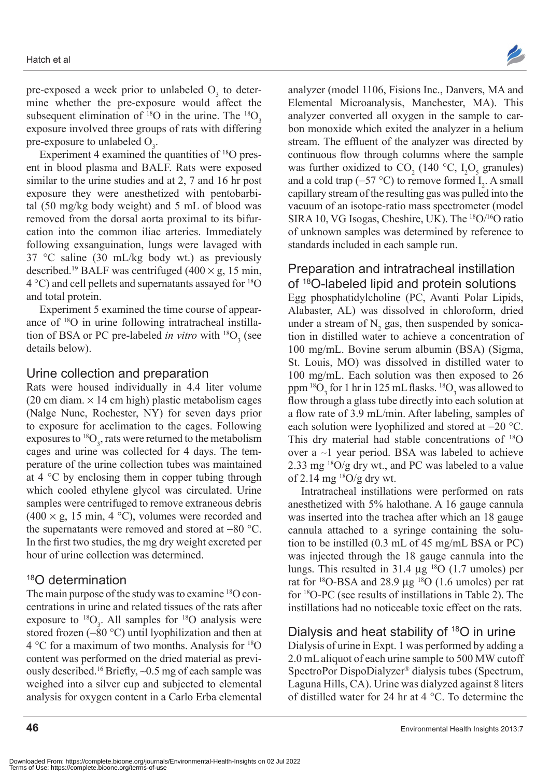pre-exposed a week prior to unlabeled  $O_3$  to determine whether the pre-exposure would affect the subsequent elimination of  $^{18}O$  in the urine. The  $^{18}O$ , exposure involved three groups of rats with differing pre-exposure to unlabeled  $O_3$ .

Experiment 4 examined the quantities of 18O present in blood plasma and BALF. Rats were exposed similar to the urine studies and at 2, 7 and 16 hr post exposure they were anesthetized with pentobarbital (50 mg/kg body weight) and 5 mL of blood was removed from the dorsal aorta proximal to its bifurcation into the common iliac arteries. Immediately following exsanguination, lungs were lavaged with 37 °C saline (30 mL/kg body wt.) as previously described.<sup>19</sup> BALF was centrifuged  $(400 \times g, 15 \text{ min},$ 4 °C) and cell pellets and supernatants assayed for 18O and total protein.

Experiment 5 examined the time course of appearance of 18O in urine following intratracheal instillation of BSA or PC pre-labeled *in vitro* with  $^{18}O_3$  (see details below).

### Urine collection and preparation

Rats were housed individually in 4.4 liter volume (20 cm diam.  $\times$  14 cm high) plastic metabolism cages (Nalge Nunc, Rochester, NY) for seven days prior to exposure for acclimation to the cages. Following exposures to  ${}^{18}O_3$ , rats were returned to the metabolism cages and urine was collected for 4 days. The temperature of the urine collection tubes was maintained at 4 °C by enclosing them in copper tubing through which cooled ethylene glycol was circulated. Urine samples were centrifuged to remove extraneous debris  $(400 \times g, 15 \text{ min}, 4 \degree C)$ , volumes were recorded and the supernatants were removed and stored at −80 °C. In the first two studies, the mg dry weight excreted per hour of urine collection was determined.

### <sup>18</sup>O determination

The main purpose of the study was to examine <sup>18</sup>O concentrations in urine and related tissues of the rats after exposure to  $^{18}O_3$ . All samples for  $^{18}O$  analysis were stored frozen (−80 °C) until lyophilization and then at 4 °C for a maximum of two months. Analysis for 18O content was performed on the dried material as previously described.16 Briefly, ∼0.5 mg of each sample was weighed into a silver cup and subjected to elemental analysis for oxygen content in a Carlo Erba elemental

analyzer (model 1106, Fisions Inc., Danvers, MA and Elemental Microanalysis, Manchester, MA). This analyzer converted all oxygen in the sample to carbon monoxide which exited the analyzer in a helium stream. The effluent of the analyzer was directed by continuous flow through columns where the sample was further oxidized to  $CO_2$  (140 °C,  $I_2O_5$  granules) and a cold trap (−57 °C) to remove formed  $I_2$ . A small capillary stream of the resulting gas was pulled into the vacuum of an isotope-ratio mass spectrometer (model SIRA 10, VG Isogas, Cheshire, UK). The 18O/16O ratio of unknown samples was determined by reference to standards included in each sample run.

## Preparation and intratracheal instillation of 18O-labeled lipid and protein solutions

Egg phosphatidylcholine (PC, Avanti Polar Lipids, Alabaster, AL) was dissolved in chloroform, dried under a stream of  $N_2$  gas, then suspended by sonication in distilled water to achieve a concentration of 100 mg/mL. Bovine serum albumin (BSA) (Sigma, St. Louis, MO) was dissolved in distilled water to 100 mg/mL. Each solution was then exposed to 26 ppm  ${}^{18}O_3$  for 1 hr in 125 mL flasks.  ${}^{18}O_3$  was allowed to flow through a glass tube directly into each solution at a flow rate of 3.9 mL/min. After labeling, samples of each solution were lyophilized and stored at  $-20$  °C. This dry material had stable concentrations of 18O over a ∼1 year period. BSA was labeled to achieve 2.33 mg 18O/g dry wt., and PC was labeled to a value of 2.14 mg  $\rm{^{18}O/g}$  dry wt.

Intratracheal instillations were performed on rats anesthetized with 5% halothane. A 16 gauge cannula was inserted into the trachea after which an 18 gauge cannula attached to a syringe containing the solution to be instilled (0.3 mL of 45 mg/mL BSA or PC) was injected through the 18 gauge cannula into the lungs. This resulted in 31.4  $\mu$ g <sup>18</sup>O (1.7 umoles) per rat for  $^{18}$ O-BSA and 28.9 µg  $^{18}$ O (1.6 umoles) per rat for 18 O-PC (see results of instillations in Table 2). The instillations had no noticeable toxic effect on the rats.

## Dialysis and heat stability of  $18$ O in urine

Dialysis of urine in Expt. 1 was performed by adding a 2.0 mL aliquot of each urine sample to 500 MW cutoff SpectroPor DispoDialyzer® dialysis tubes (Spectrum, Laguna Hills, CA). Urine was dialyzed against 8 liters of distilled water for 24 hr at 4 °C. To determine the

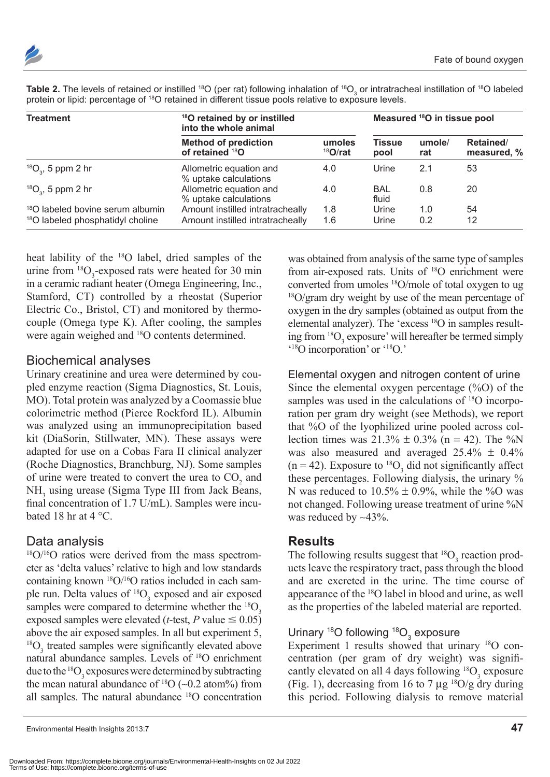

| Treatment                                                                                    | <sup>18</sup> O retained by or instilled<br>into the whole animal    |                      | Measured <sup>18</sup> O in tissue pool |               |                          |
|----------------------------------------------------------------------------------------------|----------------------------------------------------------------------|----------------------|-----------------------------------------|---------------|--------------------------|
|                                                                                              | <b>Method of prediction</b><br>of retained <sup>18</sup> O           | umoles<br>$18O$ /rat | <b>Tissue</b><br>pool                   | umole/<br>rat | Retained/<br>measured, % |
| $^{18}O_3$ , 5 ppm 2 hr                                                                      | Allometric equation and<br>% uptake calculations                     | 4.0                  | Urine                                   | 2.1           | 53                       |
| $^{18}O_3$ , 5 ppm 2 hr                                                                      | Allometric equation and<br>% uptake calculations                     | 4.0                  | <b>BAL</b><br>fluid                     | 0.8           | 20                       |
| <sup>18</sup> O labeled bovine serum albumin<br><sup>18</sup> O labeled phosphatidyl choline | Amount instilled intratracheally<br>Amount instilled intratracheally | 1.8<br>1.6           | Urine<br>Urine                          | 1.0<br>0.2    | 54<br>12                 |

**Table 2.** The levels of retained or instilled <sup>18</sup>O (per rat) following inhalation of <sup>18</sup>O<sub>3</sub> or intratracheal instillation of <sup>18</sup>O labeled protein or lipid: percentage of 18O retained in different tissue pools relative to exposure levels.

heat lability of the 18O label, dried samples of the urine from  ${}^{18}O_3$ -exposed rats were heated for 30 min in a ceramic radiant heater (Omega Engineering, Inc., Stamford, CT) controlled by a rheostat (Superior Electric Co., Bristol, CT) and monitored by thermocouple (Omega type K). After cooling, the samples were again weighed and 18O contents determined.

## Biochemical analyses

Urinary creatinine and urea were determined by coupled enzyme reaction (Sigma Diagnostics, St. Louis, MO). Total protein was analyzed by a Coomassie blue colorimetric method (Pierce Rockford IL). Albumin was analyzed using an immunoprecipitation based kit (DiaSorin, Stillwater, MN). These assays were adapted for use on a Cobas Fara II clinical analyzer (Roche Diagnostics, Branchburg, NJ). Some samples of urine were treated to convert the urea to  $CO<sub>2</sub>$  and NH<sub>3</sub> using urease (Sigma Type III from Jack Beans, final concentration of 1.7 U/mL). Samples were incubated 18 hr at  $4^{\circ}$ C.

## Data analysis

<sup>18</sup>O/<sup>16</sup>O ratios were derived from the mass spectrometer as 'delta values' relative to high and low standards containing known 18O/16O ratios included in each sample run. Delta values of  ${}^{18}O_3$  exposed and air exposed samples were compared to determine whether the  $^{18}O<sub>2</sub>$ exposed samples were elevated (*t*-test, *P* value  $\leq 0.05$ ) above the air exposed samples. In all but experiment 5,  $^{18}O_3$  treated samples were significantly elevated above natural abundance samples. Levels of 18O enrichment due to the  ${}^{18}O_3$  exposures were determined by subtracting the mean natural abundance of 18O (∼0.2 atom%) from all samples. The natural abundance 18O concentration

was obtained from analysis of the same type of samples from air-exposed rats. Units of 18O enrichment were converted from umoles 18O/mole of total oxygen to ug 18O/gram dry weight by use of the mean percentage of oxygen in the dry samples (obtained as output from the elemental analyzer). The 'excess 18O in samples resulting from  ${}^{18}O_3$  exposure' will hereafter be termed simply ' 18O incorporation' or '18O.'

Elemental oxygen and nitrogen content of urine Since the elemental oxygen percentage (%O) of the samples was used in the calculations of <sup>18</sup>O incorporation per gram dry weight (see Methods), we report that %O of the lyophilized urine pooled across collection times was  $21.3\% \pm 0.3\%$  (n = 42). The %N was also measured and averaged  $25.4\% \pm 0.4\%$  $(n = 42)$ . Exposure to <sup>18</sup>O<sub>3</sub> did not significantly affect these percentages. Following dialysis, the urinary % N was reduced to  $10.5\% \pm 0.9\%$ , while the %O was not changed. Following urease treatment of urine %N was reduced by ∼43%.

## **Results**

The following results suggest that  ${}^{18}O_3$  reaction products leave the respiratory tract, pass through the blood and are excreted in the urine. The time course of appearance of the 18O label in blood and urine, as well as the properties of the labeled material are reported.

## Urinary  $^{18}O$  following  $^{18}O_3$  exposure

Experiment 1 results showed that urinary <sup>18</sup>O concentration (per gram of dry weight) was significantly elevated on all 4 days following  ${}^{18}O_3$  exposure (Fig. 1), decreasing from 16 to 7  $\mu$ g <sup>18</sup>O/g dry during this period. Following dialysis to remove material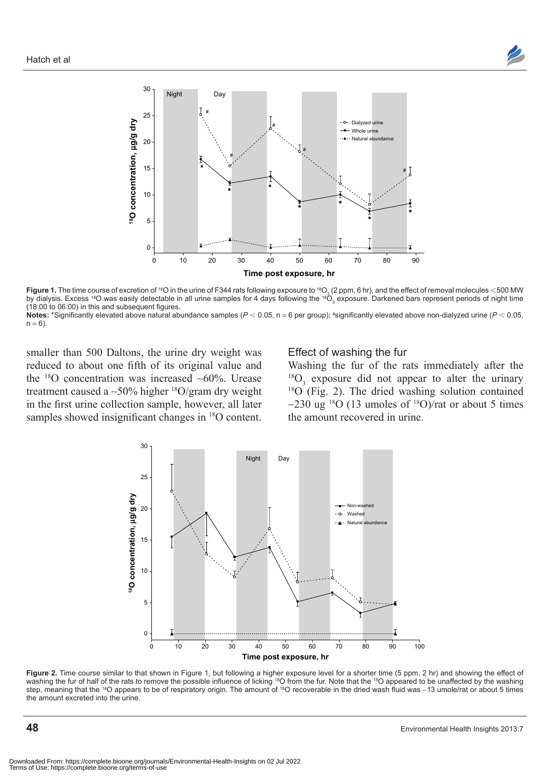



**Figure 1.** The time course of excretion of <sup>18</sup>O in the urine of F344 rats following exposure to <sup>18</sup>O<sub>3</sub> (2 ppm, 6 hr), and the effect of removal molecules <500 MW by dialysis. Excess <sup>18</sup>O was easily detectable in all urine samples for 4 days following the <sup>18</sup>O<sub>3</sub> exposure. Darkened bars represent periods of night time (18:00 to 06:00) in this and subsequent figures. Notes: \*Significantly elevated above natural abundance samples (*P* < 0.05, n = 6 per group); \*significantly elevated above non-dialyzed urine (*P* < 0.05,  $n = 6$ ).

smaller than 500 Daltons, the urine dry weight was reduced to about one fifth of its original value and the 18O concentration was increased ∼60%. Urease treatment caused a ∼50% higher 18O/gram dry weight in the first urine collection sample, however, all later samples showed insignificant changes in <sup>18</sup>O content.

#### Effect of washing the fur

Washing the fur of the rats immediately after the  $^{18}O_3$  exposure did not appear to alter the urinary 18O (Fig. 2). The dried washing solution contained  $~\sim$ 230 ug <sup>18</sup>O (13 umoles of <sup>18</sup>O)/rat or about 5 times the amount recovered in urine.



Figure 2. Time course similar to that shown in Figure 1, but following a higher exposure level for a shorter time (5 ppm, 2 hr) and showing the effect of washing the fur of half of the rats to remove the possible influence of licking <sup>18</sup>O from the fur. Note that the <sup>18</sup>O appeared to be unaffected by the washing step, meaning that the <sup>18</sup>O appears to be of respiratory origin. The amount of <sup>18</sup>O recoverable in the dried wash fluid was ~13 umole/rat or about 5 times the amount excreted into the urine.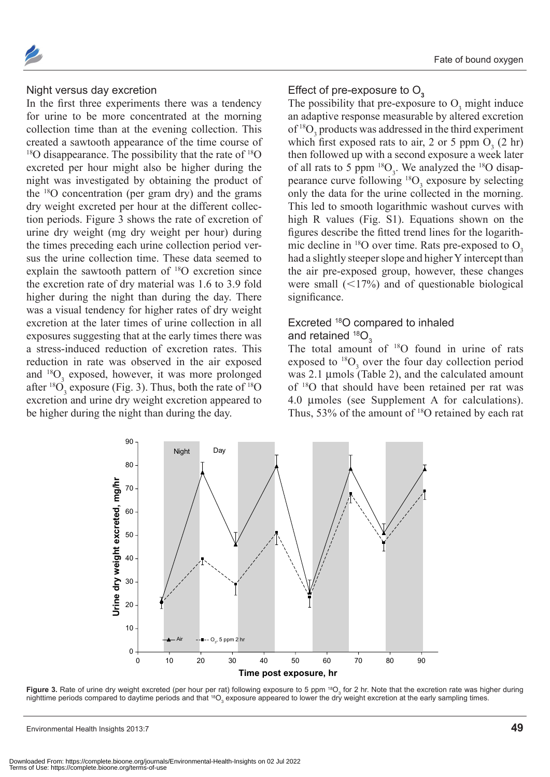

#### Night versus day excretion

In the first three experiments there was a tendency for urine to be more concentrated at the morning collection time than at the evening collection. This created a sawtooth appearance of the time course of  $18$ O disappearance. The possibility that the rate of  $18$ O excreted per hour might also be higher during the night was investigated by obtaining the product of the  $18$ O concentration (per gram dry) and the grams dry weight excreted per hour at the different collection periods. Figure 3 shows the rate of excretion of urine dry weight (mg dry weight per hour) during the times preceding each urine collection period versus the urine collection time. These data seemed to explain the sawtooth pattern of 18O excretion since the excretion rate of dry material was 1.6 to 3.9 fold higher during the night than during the day. There was a visual tendency for higher rates of dry weight excretion at the later times of urine collection in all exposures suggesting that at the early times there was a stress-induced reduction of excretion rates. This reduction in rate was observed in the air exposed and  $^{18}O_3$  exposed, however, it was more prolonged after <sup>18</sup>O<sub>3</sub> exposure (Fig. 3). Thus, both the rate of <sup>18</sup>O excretion and urine dry weight excretion appeared to be higher during the night than during the day.

#### Effect of pre-exposure to O<sub>3</sub>

The possibility that pre-exposure to  $O_3$  might induce an adaptive response measurable by altered excretion of  ${}^{18}O_3$  products was addressed in the third experiment which first exposed rats to air, 2 or 5 ppm  $O_3$  (2 hr) then followed up with a second exposure a week later of all rats to 5 ppm  $^{18}O_3$ . We analyzed the <sup>18</sup>O disappearance curve following  ${}^{18}O_3$  exposure by selecting only the data for the urine collected in the morning. This led to smooth logarithmic washout curves with high R values (Fig. S1). Equations shown on the figures describe the fitted trend lines for the logarithmic decline in  $^{18}$ O over time. Rats pre-exposed to O<sub>2</sub> had a slightly steeper slope and higher Y intercept than the air pre-exposed group, however, these changes were small  $(<17\%)$  and of questionable biological significance.

#### Excreted 18O compared to inhaled and retained  ${}^{18}O_3$

The total amount of <sup>18</sup>O found in urine of rats exposed to  $^{18}O_3$  over the four day collection period was 2.1 µmols (Table 2), and the calculated amount of 18O that should have been retained per rat was 4.0 µmoles (see Supplement A for calculations). Thus, 53% of the amount of <sup>18</sup>O retained by each rat



Figure 3. Rate of urine dry weight excreted (per hour per rat) following exposure to 5 ppm <sup>18</sup>O<sub>3</sub> for 2 hr. Note that the excretion rate was higher during nighttime periods compared to daytime periods and that <sup>18</sup>O<sub>3</sub> exposure appeared to lower the dry weight excretion at the early sampling times.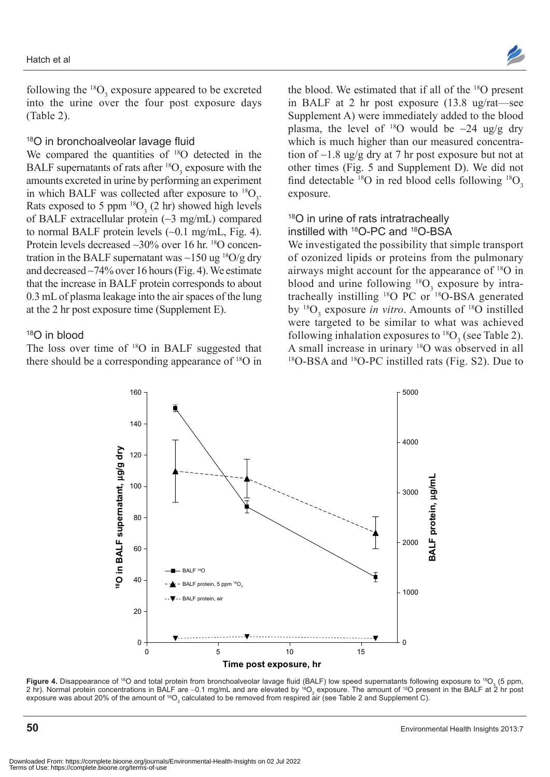

following the  ${}^{18}O_3$  exposure appeared to be excreted into the urine over the four post exposure days (Table 2).

#### <sup>18</sup>O in bronchoalveolar lavage fluid

We compared the quantities of <sup>18</sup>O detected in the BALF supernatants of rats after  ${}^{18}O_3$  exposure with the amounts excreted in urine by performing an experiment in which BALF was collected after exposure to  $^{18}O_3$ . Rats exposed to 5 ppm  ${}^{18}O_3$  (2 hr) showed high levels of BALF extracellular protein (∼3 mg/mL) compared to normal BALF protein levels (∼0.1 mg/mL, Fig. 4). Protein levels decreased ∼30% over 16 hr. 18O concentration in the BALF supernatant was ~150 ug <sup>18</sup>O/g dry and decreased ∼74% over 16 hours (Fig. 4). We estimate that the increase in BALF protein corresponds to about 0.3 mL of plasma leakage into the air spaces of the lung at the 2 hr post exposure time (Supplement E).

#### 18O in blood

The loss over time of <sup>18</sup>O in BALF suggested that there should be a corresponding appearance of 18O in

the blood. We estimated that if all of the 18O present in BALF at 2 hr post exposure (13.8 ug/rat—see Supplement A) were immediately added to the blood plasma, the level of 18O would be ∼24 ug/g dry which is much higher than our measured concentration of ∼1.8 ug/g dry at 7 hr post exposure but not at other times (Fig. 5 and Supplement D). We did not find detectable  $^{18}O$  in red blood cells following  $^{18}O$ , exposure.

### <sup>18</sup>O in urine of rats intratracheally instilled with 18O-PC and 18O-BSA

We investigated the possibility that simple transport of ozonized lipids or proteins from the pulmonary airways might account for the appearance of 18O in blood and urine following  $^{18}O_3$  exposure by intratracheally instilling <sup>18</sup>O PC or <sup>18</sup>O-BSA generated by  $^{18}O_3$  exposure *in vitro*. Amounts of  $^{18}O$  instilled were targeted to be similar to what was achieved following inhalation exposures to  ${}^{18}O_3$  (see Table 2). A small increase in urinary 18O was observed in all <sup>18</sup>O-BSA and 18O-PC instilled rats (Fig. S2). Due to



**Figure 4.** Disappearance of <sup>18</sup>O and total protein from bronchoalveolar lavage fluid (BALF) low speed supernatants following exposure to <sup>18</sup>O<sub>3</sub> (5 ppm, 2 hr). Normal protein concentrations in BALF are ∼0.1 mg/mL and are elevated by <sup>18</sup>O<sub>3</sub> exposure. The amount of <sup>18</sup>O present in the BALF at 2 hr post exposure was about 20% of the amount of  $^{18}O_3$  calculated to be removed from respired air (see Table 2 and Supplement C).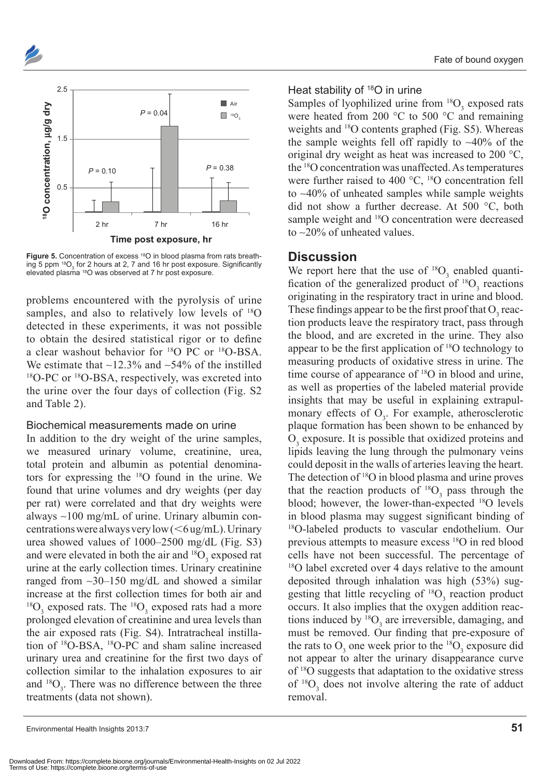



Figure 5. Concentration of excess <sup>18</sup>O in blood plasma from rats breathing 5 ppm  $^{18}O_3$  for 2 hours at 2, 7 and 16 hr post exposure. Significantly elevated plasma 18O was observed at 7 hr post exposure.

problems encountered with the pyrolysis of urine samples, and also to relatively low levels of <sup>18</sup>O detected in these experiments, it was not possible to obtain the desired statistical rigor or to define a clear washout behavior for 18O PC or 18O-BSA. We estimate that ∼12.3% and ∼54% of the instilled <sup>18</sup>O-PC or <sup>18</sup>O-BSA, respectively, was excreted into the urine over the four days of collection (Fig. S2 and Table 2).

#### Biochemical measurements made on urine

In addition to the dry weight of the urine samples, we measured urinary volume, creatinine, urea, total protein and albumin as potential denominators for expressing the 18O found in the urine. We found that urine volumes and dry weights (per day per rat) were correlated and that dry weights were always ∼100 mg/mL of urine. Urinary albumin concentrations were always very low  $(<\frac{6 \text{ ug}}{\text{mL}})$ . Urinary urea showed values of 1000–2500 mg/dL (Fig. S3) and were elevated in both the air and  $^{18}O_3$  exposed rat urine at the early collection times. Urinary creatinine ranged from ∼30–150 mg/dL and showed a similar increase at the first collection times for both air and  $^{18}O_3$  exposed rats. The  $^{18}O_3$  exposed rats had a more prolonged elevation of creatinine and urea levels than the air exposed rats (Fig. S4). Intratracheal instillation of 18O-BSA, 18O-PC and sham saline increased urinary urea and creatinine for the first two days of collection similar to the inhalation exposures to air and  $^{18}O_3$ . There was no difference between the three treatments (data not shown).

#### Heat stability of <sup>18</sup>O in urine

Samples of lyophilized urine from  $^{18}O_3$  exposed rats were heated from 200 °C to 500 °C and remaining weights and 18O contents graphed (Fig. S5). Whereas the sample weights fell off rapidly to ∼40% of the original dry weight as heat was increased to 200 °C, the 18O concentration was unaffected. As temperatures were further raised to 400 °C, <sup>18</sup>O concentration fell to ∼40% of unheated samples while sample weights did not show a further decrease. At 500 °C, both sample weight and <sup>18</sup>O concentration were decreased to ∼20% of unheated values.

### **Discussion**

We report here that the use of  $^{18}O_3$  enabled quantification of the generalized product of  $^{18}O_3$  reactions originating in the respiratory tract in urine and blood. These findings appear to be the first proof that  $O_3$  reaction products leave the respiratory tract, pass through the blood, and are excreted in the urine. They also appear to be the first application of 18O technology to measuring products of oxidative stress in urine. The time course of appearance of 18O in blood and urine, as well as properties of the labeled material provide insights that may be useful in explaining extrapulmonary effects of  $O_3$ . For example, atherosclerotic plaque formation has been shown to be enhanced by  $O<sub>3</sub>$  exposure. It is possible that oxidized proteins and lipids leaving the lung through the pulmonary veins could deposit in the walls of arteries leaving the heart. The detection of <sup>18</sup>O in blood plasma and urine proves that the reaction products of  $^{18}O_3$  pass through the blood; however, the lower-than-expected 18O levels in blood plasma may suggest significant binding of 18O-labeled products to vascular endothelium. Our previous attempts to measure excess 18O in red blood cells have not been successful. The percentage of 18O label excreted over 4 days relative to the amount deposited through inhalation was high (53%) suggesting that little recycling of  ${}^{18}O_3$  reaction product occurs. It also implies that the oxygen addition reactions induced by  ${}^{18}O_3$  are irreversible, damaging, and must be removed. Our finding that pre-exposure of the rats to  $O_3$  one week prior to the <sup>18</sup> $O_3$  exposure did not appear to alter the urinary disappearance curve of 18O suggests that adaptation to the oxidative stress of  ${}^{18}O_3$  does not involve altering the rate of adduct removal.

Downloaded From: https://complete.bioone.org/journals/Environmental-Health-Insights on 02 Jul 2022 Terms of Use: https://complete.bioone.org/terms-of-use

Fate of bound oxygen

Environmental Health Insights 2013:7 **51**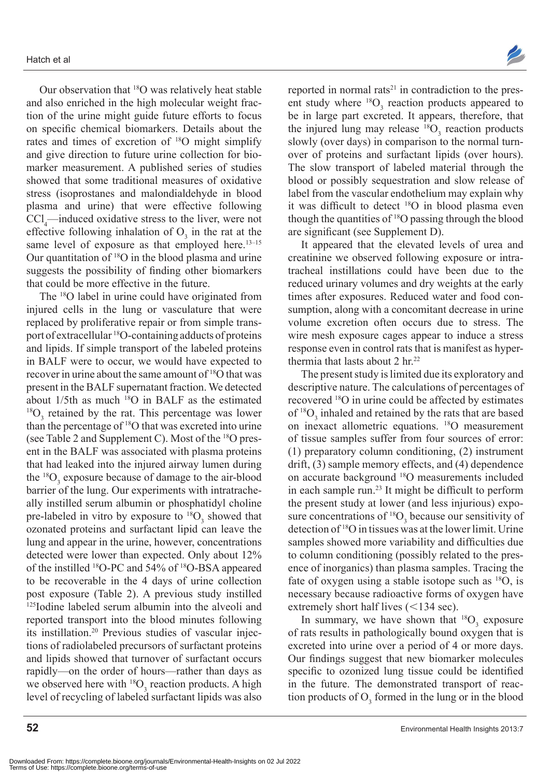Our observation that 18O was relatively heat stable and also enriched in the high molecular weight fraction of the urine might guide future efforts to focus on specific chemical biomarkers. Details about the rates and times of excretion of 18O might simplify and give direction to future urine collection for biomarker measurement. A published series of studies showed that some traditional measures of oxidative stress (isoprostanes and malondialdehyde in blood plasma and urine) that were effective following  $\text{CCl}_4$ —induced oxidative stress to the liver, were not effective following inhalation of  $O_3$  in the rat at the same level of exposure as that employed here.<sup>13-15</sup> Our quantitation of  $^{18}O$  in the blood plasma and urine suggests the possibility of finding other biomarkers that could be more effective in the future.

The 18O label in urine could have originated from injured cells in the lung or vasculature that were replaced by proliferative repair or from simple transport of extracellular 18O-containing adducts of proteins and lipids. If simple transport of the labeled proteins in BALF were to occur, we would have expected to recover in urine about the same amount of 18O that was present in the BALF supernatant fraction. We detected about 1/5th as much 18O in BALF as the estimated  $^{18}O_3$  retained by the rat. This percentage was lower than the percentage of 18O that was excreted into urine (see Table 2 and Supplement C). Most of the 18O present in the BALF was associated with plasma proteins that had leaked into the injured airway lumen during the  ${}^{18}O_3$  exposure because of damage to the air-blood barrier of the lung. Our experiments with intratracheally instilled serum albumin or phosphatidyl choline pre-labeled in vitro by exposure to  $^{18}O_3$  showed that ozonated proteins and surfactant lipid can leave the lung and appear in the urine, however, concentrations detected were lower than expected. Only about 12% of the instilled 18O-PC and 54% of 18O-BSA appeared to be recoverable in the 4 days of urine collection post exposure (Table 2). A previous study instilled <sup>125</sup>Iodine labeled serum albumin into the alveoli and reported transport into the blood minutes following its instillation.20 Previous studies of vascular injections of radiolabeled precursors of surfactant proteins and lipids showed that turnover of surfactant occurs rapidly—on the order of hours—rather than days as we observed here with  ${}^{18}O_3$  reaction products. A high level of recycling of labeled surfactant lipids was also



reported in normal rats<sup>21</sup> in contradiction to the present study where  $^{18}O_3$  reaction products appeared to be in large part excreted. It appears, therefore, that the injured lung may release  $^{18}O_3$  reaction products slowly (over days) in comparison to the normal turnover of proteins and surfactant lipids (over hours). The slow transport of labeled material through the blood or possibly sequestration and slow release of label from the vascular endothelium may explain why it was difficult to detect 18O in blood plasma even though the quantities of 18O passing through the blood are significant (see Supplement D).

It appeared that the elevated levels of urea and creatinine we observed following exposure or intratracheal instillations could have been due to the reduced urinary volumes and dry weights at the early times after exposures. Reduced water and food consumption, along with a concomitant decrease in urine volume excretion often occurs due to stress. The wire mesh exposure cages appear to induce a stress response even in control rats that is manifest as hyperthermia that lasts about  $2 \text{ hr.}^{22}$ 

The present study is limited due its exploratory and descriptive nature. The calculations of percentages of recovered 18O in urine could be affected by estimates of  ${}^{18}O_3$  inhaled and retained by the rats that are based on inexact allometric equations. 18O measurement of tissue samples suffer from four sources of error: (1) preparatory column conditioning, (2) instrument drift, (3) sample memory effects, and (4) dependence on accurate background 18O measurements included in each sample run. $^{23}$  It might be difficult to perform the present study at lower (and less injurious) exposure concentrations of  ${}^{18}O_3$  because our sensitivity of detection of 18O in tissues was at the lower limit. Urine samples showed more variability and difficulties due to column conditioning (possibly related to the presence of inorganics) than plasma samples. Tracing the fate of oxygen using a stable isotope such as  $^{18}O$ , is necessary because radioactive forms of oxygen have extremely short half lives  $(<134$  sec).

In summary, we have shown that  ${}^{18}O_3$  exposure of rats results in pathologically bound oxygen that is excreted into urine over a period of 4 or more days. Our findings suggest that new biomarker molecules specific to ozonized lung tissue could be identified in the future. The demonstrated transport of reaction products of  $O_3$  formed in the lung or in the blood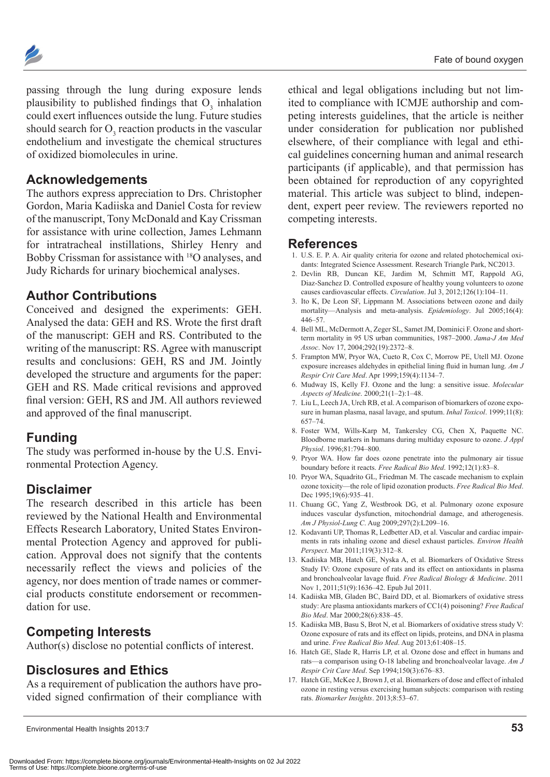

passing through the lung during exposure lends plausibility to published findings that  $O_3$  inhalation could exert influences outside the lung. Future studies should search for  $O_3$  reaction products in the vascular endothelium and investigate the chemical structures of oxidized biomolecules in urine.

## **Acknowledgements**

The authors express appreciation to Drs. Christopher Gordon, Maria Kadiiska and Daniel Costa for review of the manuscript, Tony McDonald and Kay Crissman for assistance with urine collection, James Lehmann for intratracheal instillations, Shirley Henry and Bobby Crissman for assistance with 18O analyses, and Judy Richards for urinary biochemical analyses.

## **Author Contributions**

Conceived and designed the experiments: GEH. Analysed the data: GEH and RS. Wrote the first draft of the manuscript: GEH and RS. Contributed to the writing of the manuscript: RS. Agree with manuscript results and conclusions: GEH, RS and JM. Jointly developed the structure and arguments for the paper: GEH and RS. Made critical revisions and approved final version: GEH, RS and JM. All authors reviewed and approved of the final manuscript.

## **Funding**

The study was performed in-house by the U.S. Environmental Protection Agency.

## **Disclaimer**

The research described in this article has been reviewed by the National Health and Environmental Effects Research Laboratory, United States Environmental Protection Agency and approved for publication. Approval does not signify that the contents necessarily reflect the views and policies of the agency, nor does mention of trade names or commercial products constitute endorsement or recommendation for use.

## **Competing Interests**

Author(s) disclose no potential conflicts of interest.

## **Disclosures and Ethics**

As a requirement of publication the authors have provided signed confirmation of their compliance with ethical and legal obligations including but not limited to compliance with ICMJE authorship and competing interests guidelines, that the article is neither under consideration for publication nor published elsewhere, of their compliance with legal and ethical guidelines concerning human and animal research participants (if applicable), and that permission has been obtained for reproduction of any copyrighted material. This article was subject to blind, independent, expert peer review. The reviewers reported no competing interests.

#### **References**

- 1. U.S. E. P. A. Air quality criteria for ozone and related photochemical oxidants: Integrated Science Assessment. Research Triangle Park, NC2013.
- 2. Devlin RB, Duncan KE, Jardim M, Schmitt MT, Rappold AG, Diaz-Sanchez D. Controlled exposure of healthy young volunteers to ozone causes cardiovascular effects. *Circulation*. Jul 3, 2012;126(1):104–11.
- 3. Ito K, De Leon SF, Lippmann M. Associations between ozone and daily mortality—Analysis and meta-analysis. *Epidemiology*. Jul 2005;16(4): 446–57.
- 4. Bell ML, McDermott A, Zeger SL, Samet JM, Dominici F. Ozone and shortterm mortality in 95 US urban communities, 1987–2000. *Jama-J Am Med Assoc*. Nov 17, 2004;292(19):2372–8.
- 5. Frampton MW, Pryor WA, Cueto R, Cox C, Morrow PE, Utell MJ. Ozone exposure increases aldehydes in epithelial lining fluid in human lung. *Am J Respir Crit Care Med*. Apr 1999;159(4):1134–7.
- 6. Mudway IS, Kelly FJ. Ozone and the lung: a sensitive issue. *Molecular Aspects of Medicine*. 2000;21(1–2):1–48.
- 7. Liu L, Leech JA, Urch RB, et al. A comparison of biomarkers of ozone exposure in human plasma, nasal lavage, and sputum. *Inhal Toxicol*. 1999;11(8): 657–74.
- 8. Foster WM, Wills-Karp M, Tankersley CG, Chen X, Paquette NC. Bloodborne markers in humans during multiday exposure to ozone. *J Appl Physiol*. 1996;81:794–800.
- 9. Pryor WA. How far does ozone penetrate into the pulmonary air tissue boundary before it reacts. *Free Radical Bio Med*. 1992;12(1):83–8.
- 10. Pryor WA, Squadrito GL, Friedman M. The cascade mechanism to explain ozone toxicity—the role of lipid ozonation products. *Free Radical Bio Med*. Dec 1995:19(6):935-41.
- 11. Chuang GC, Yang Z, Westbrook DG, et al. Pulmonary ozone exposure induces vascular dysfunction, mitochondrial damage, and atherogenesis. *Am J Physiol-Lung C*. Aug 2009;297(2):L209–16.
- 12. Kodavanti UP, Thomas R, Ledbetter AD, et al. Vascular and cardiac impairments in rats inhaling ozone and diesel exhaust particles. *Environ Health Perspect*. Mar 2011;119(3):312–8.
- 13. Kadiiska MB, Hatch GE, Nyska A, et al. Biomarkers of Oxidative Stress Study IV: Ozone exposure of rats and its effect on antioxidants in plasma and bronchoalveolar lavage fluid. *Free Radical Biology & Medicine*. 2011 Nov 1, 2011;51(9):1636–42. Epub Jul 2011.
- 14. Kadiiska MB, Gladen BC, Baird DD, et al. Biomarkers of oxidative stress study: Are plasma antioxidants markers of CC1(4) poisoning? *Free Radical Bio Med*. Mar 2000;28(6):838–45.
- 15. Kadiiska MB, Basu S, Brot N, et al. Biomarkers of oxidative stress study V: Ozone exposure of rats and its effect on lipids, proteins, and DNA in plasma and urine. *Free Radical Bio Med*. Aug 2013;61:408–15.
- 16. Hatch GE, Slade R, Harris LP, et al. Ozone dose and effect in humans and rats—a comparison using O-18 labeling and bronchoalveolar lavage. Am J *Respir Crit Care Med*. Sep 1994;150(3):676–83.
- 17. Hatch GE, McKee J, Brown J, et al. Biomarkers of dose and effect of inhaled ozone in resting versus exercising human subjects: comparison with resting rats. *Biomarker Insights*. 2013;8:53–67.

Environmental Health Insights 2013:7 **53**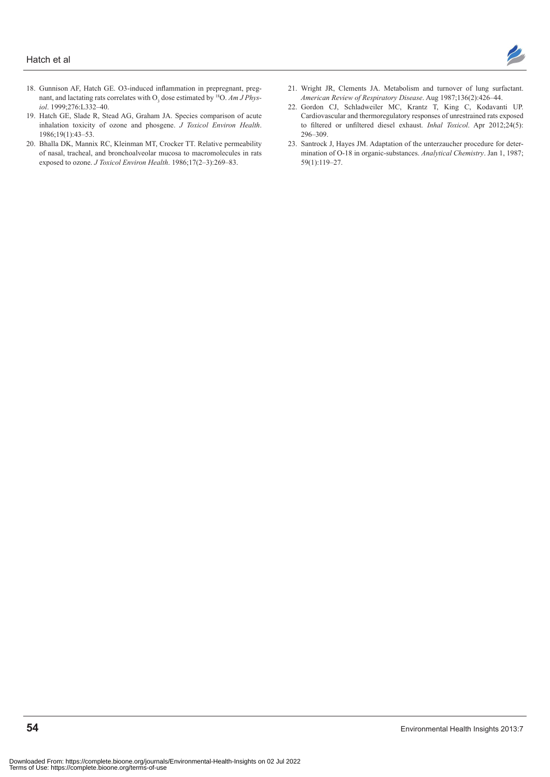

- 18. Gunnison AF, Hatch GE. O3-induced inflammation in prepregnant, pregnant, and lactating rats correlates with O<sub>3</sub> dose estimated by <sup>18</sup>O. Am J Phys*iol*. 1999;276:L332–40.
- 19. Hatch GE, Slade R, Stead AG, Graham JA. Species comparison of acute inhalation toxicity of ozone and phosgene. *J Toxicol Environ Health*. 1986;19(1):43–53.
- 20. Bhalla DK, Mannix RC, Kleinman MT, Crocker TT. Relative permeability of nasal, tracheal, and bronchoalveolar mucosa to macromolecules in rats exposed to ozone. *J Toxicol Environ Health*. 1986;17(2–3):269–83.
- 21. Wright JR, Clements JA. Metabolism and turnover of lung surfactant. *American Review of Respiratory Disease*. Aug 1987;136(2):426–44.
- 22. Gordon CJ, Schladweiler MC, Krantz T, King C, Kodavanti UP. Cardiovascular and thermoregulatory responses of unrestrained rats exposed to filtered or unfiltered diesel exhaust. *Inhal Toxicol*. Apr 2012;24(5): 296–309.
- 23. Santrock J, Hayes JM. Adaptation of the unterzaucher procedure for determination of O-18 in organic-substances. *Analytical Chemistry*. Jan 1, 1987; 59(1):119–27.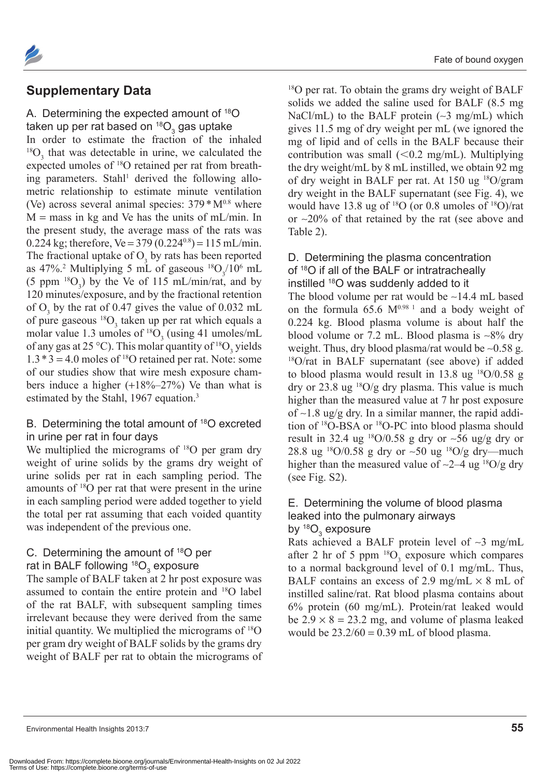## **Supplementary Data**

A. Determining the expected amount of 18O taken up per rat based on  $\mathrm{^{18}O}_{\overline{3}}$  gas uptake In order to estimate the fraction of the inhaled  $^{18}O_3$  that was detectable in urine, we calculated the expected umoles of 18O retained per rat from breathing parameters. Stahl<sup>1</sup> derived the following allometric relationship to estimate minute ventilation (Ve) across several animal species:  $379 * M^{0.8}$  where  $M =$  mass in kg and Ve has the units of mL/min. In the present study, the average mass of the rats was 0.224 kg; therefore, Ve = 379 (0.224<sup>0.8</sup>) = 115 mL/min. The fractional uptake of  $O_3$  by rats has been reported as  $47\%$ <sup>2</sup> Multiplying 5 mL of gaseous  $^{18}O_3/10^6$  mL (5 ppm  $^{18}O_3$ ) by the Ve of 115 mL/min/rat, and by 120 minutes/exposure, and by the fractional retention of  $O_3$  by the rat of 0.47 gives the value of 0.032 mL of pure gaseous  ${}^{18}O_3$  taken up per rat which equals a molar value 1.3 umoles of  ${}^{18}O_3$  (using 41 umoles/mL of any gas at 25 °C). This molar quantity of  ${}^{18}O_3$  yields  $1.3*3 = 4.0$  moles of <sup>18</sup>O retained per rat. Note: some of our studies show that wire mesh exposure chambers induce a higher  $(+18\% - 27\%)$  Ve than what is estimated by the Stahl, 1967 equation.<sup>3</sup>

### B. Determining the total amount of <sup>18</sup>O excreted in urine per rat in four days

We multiplied the micrograms of <sup>18</sup>O per gram dry weight of urine solids by the grams dry weight of urine solids per rat in each sampling period. The amounts of 18O per rat that were present in the urine in each sampling period were added together to yield the total per rat assuming that each voided quantity was independent of the previous one.

## C. Determining the amount of 18O per rat in BALF following  $^{18}O_3$  exposure

The sample of BALF taken at 2 hr post exposure was assumed to contain the entire protein and 18O label of the rat BALF, with subsequent sampling times irrelevant because they were derived from the same initial quantity. We multiplied the micrograms of 18O per gram dry weight of BALF solids by the grams dry weight of BALF per rat to obtain the micrograms of <sup>18</sup>O per rat. To obtain the grams dry weight of BALF solids we added the saline used for BALF (8.5 mg NaCl/mL) to the BALF protein (∼3 mg/mL) which gives 11.5 mg of dry weight per mL (we ignored the mg of lipid and of cells in the BALF because their contribution was small  $(< 0.2$  mg/mL). Multiplying the dry weight/mL by 8 mL instilled, we obtain 92 mg of dry weight in BALF per rat. At 150 ug 18O/gram dry weight in the BALF supernatant (see Fig. 4), we would have 13.8 ug of 18O (or 0.8 umoles of 18O)/rat or ∼20% of that retained by the rat (see above and Table 2).

### D. Determining the plasma concentration of <sup>18</sup>O if all of the BALF or intratracheally instilled 18O was suddenly added to it

The blood volume per rat would be ∼14.4 mL based on the formula  $65.6 \, M^{0.98}$ <sup>1</sup> and a body weight of 0.224 kg. Blood plasma volume is about half the blood volume or 7.2 mL. Blood plasma is ∼8% dry weight. Thus, dry blood plasma/rat would be ∼0.58 g. <sup>18</sup>O/rat in BALF supernatant (see above) if added to blood plasma would result in  $13.8 \text{ ug }^{18}O/0.58 \text{ g}$ dry or  $23.8$  ug  $\frac{18}{9}$  dry plasma. This value is much higher than the measured value at 7 hr post exposure of ∼1.8 ug/g dry. In a similar manner, the rapid addition of 18O-BSA or 18O-PC into blood plasma should result in 32.4 ug 18O/0.58 g dry or ∼56 ug/g dry or 28.8 ug <sup>18</sup>O/0.58 g dry or ~50 ug <sup>18</sup>O/g dry—much higher than the measured value of ∼2–4 ug 18O/g dry (see Fig. S2).

## E. Determining the volume of blood plasma leaked into the pulmonary airways by  $^{18}O_3$  exposure

Rats achieved a BALF protein level of ∼3 mg/mL after 2 hr of 5 ppm  $^{18}O_3$  exposure which compares to a normal background level of 0.1 mg/mL. Thus, BALF contains an excess of 2.9 mg/mL  $\times$  8 mL of instilled saline/rat. Rat blood plasma contains about 6% protein (60 mg/mL). Protein/rat leaked would be  $2.9 \times 8 = 23.2$  mg, and volume of plasma leaked would be  $23.2/60 = 0.39$  mL of blood plasma.

Environmental Health Insights 2013:7 **55**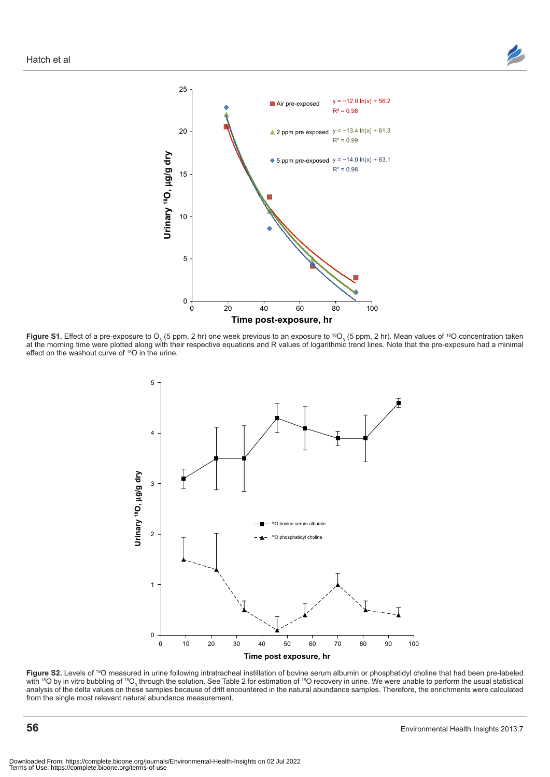



**Figure S1.** Effect of a pre-exposure to O<sub>3</sub> (5 ppm, 2 hr) one week previous to an exposure to <sup>18</sup>O<sub>3</sub> (5 ppm, 2 hr). Mean values of <sup>18</sup>O concentration taken at the morning time were plotted along with their respective equations and R values of logarithmic trend lines. Note that the pre-exposure had a minimal effect on the washout curve of 18O in the urine.



Figure S2. Levels of <sup>18</sup>O measured in urine following intratracheal instillation of bovine serum albumin or phosphatidyl choline that had been pre-labeled with <sup>18</sup>O by in vitro bubbling of <sup>18</sup>O<sub>3</sub> through the solution. See Table 2 for estimation of <sup>18</sup>O recovery in urine. We were unable to perform the usual statistical analysis of the delta values on these samples because of drift encountered in the natural abundance samples. Therefore, the enrichments were calculated from the single most relevant natural abundance measurement.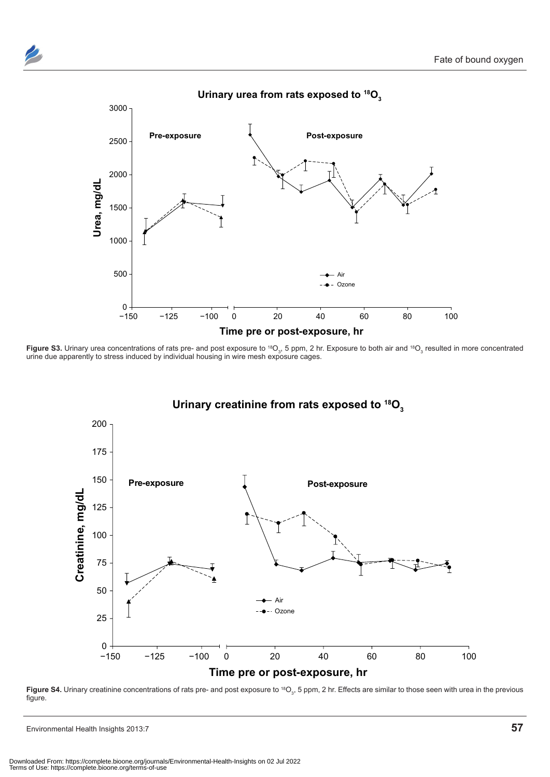

**Figure S3.** Urinary urea concentrations of rats pre- and post exposure to <sup>18</sup>O<sub>3</sub>, 5 ppm, 2 hr. Exposure to both air and <sup>18</sup>O<sub>3</sub> resulted in more concentrated urine due apparently to stress induced by individual housing in wire mesh exposure cages.



**Figure S4.** Urinary creatinine concentrations of rats pre- and post exposure to <sup>18</sup>O<sub>3</sub>, 5 ppm, 2 hr. Effects are similar to those seen with urea in the previous figure.

Environmental Health Insights 2013:7 **57**

 $\mathcal{L}_{\mathcal{A}}$